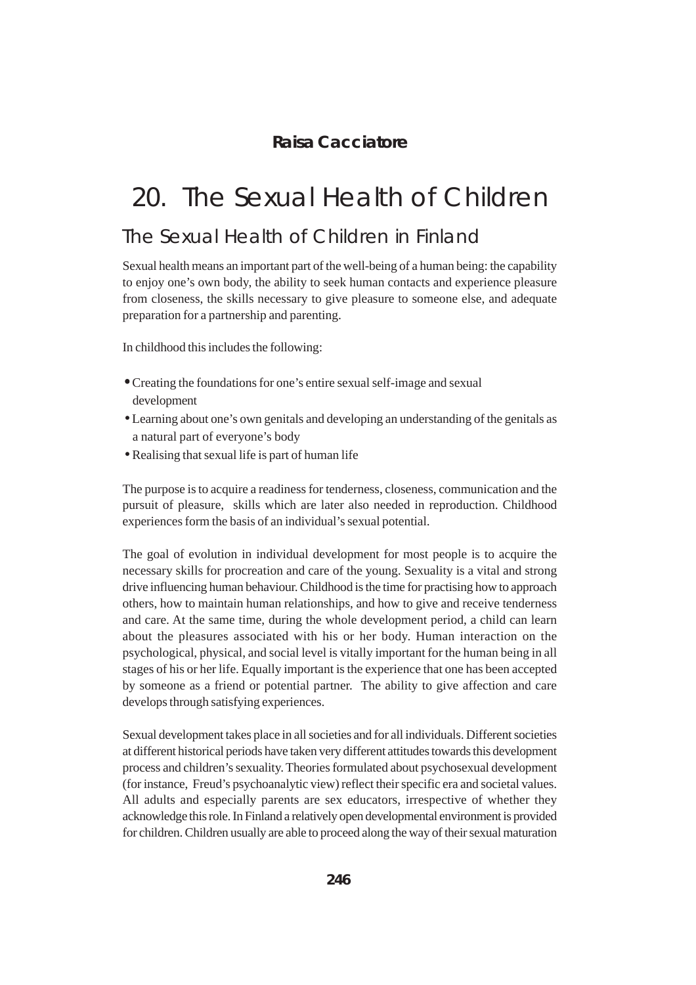### **Raisa Cacciatore**

# 20. The Sexual Health of Children

## The Sexual Health of Children in Finland

Sexual health means an important part of the well-being of a human being: the capability to enjoy one's own body, the ability to seek human contacts and experience pleasure from closeness, the skills necessary to give pleasure to someone else, and adequate preparation for a partnership and parenting.

In childhood this includes the following:

- •Creating the foundations for one's entire sexual self-image and sexual development
- •Learning about one's own genitals and developing an understanding of the genitals as a natural part of everyone's body
- •Realising that sexual life is part of human life

The purpose is to acquire a readiness for tenderness, closeness, communication and the pursuit of pleasure, skills which are later also needed in reproduction. Childhood experiences form the basis of an individual's sexual potential.

The goal of evolution in individual development for most people is to acquire the necessary skills for procreation and care of the young. Sexuality is a vital and strong drive influencing human behaviour. Childhood is the time for practising how to approach others, how to maintain human relationships, and how to give and receive tenderness and care. At the same time, during the whole development period, a child can learn about the pleasures associated with his or her body. Human interaction on the psychological, physical, and social level is vitally important for the human being in all stages of his or her life. Equally important is the experience that one has been accepted by someone as a friend or potential partner. The ability to give affection and care develops through satisfying experiences.

Sexual development takes place in all societies and for all individuals. Different societies at different historical periods have taken very different attitudes towards this development process and children's sexuality. Theories formulated about psychosexual development (for instance, Freud's psychoanalytic view) reflect their specific era and societal values. All adults and especially parents are sex educators, irrespective of whether they acknowledge this role. In Finland a relatively open developmental environment is provided for children. Children usually are able to proceed along the way of their sexual maturation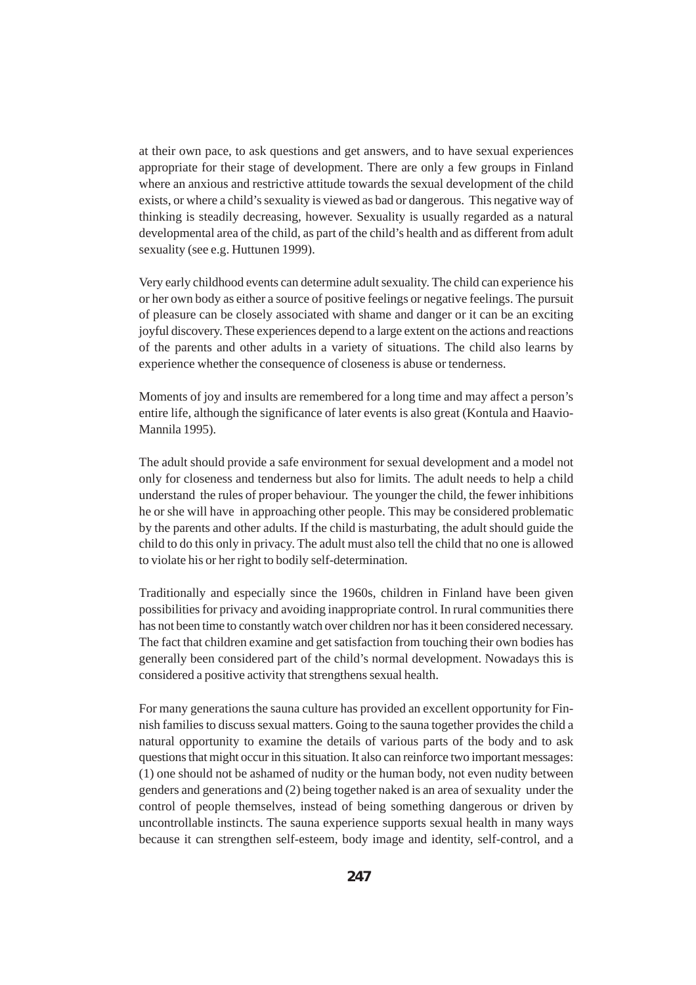at their own pace, to ask questions and get answers, and to have sexual experiences appropriate for their stage of development. There are only a few groups in Finland where an anxious and restrictive attitude towards the sexual development of the child exists, or where a child's sexuality is viewed as bad or dangerous. This negative way of thinking is steadily decreasing, however. Sexuality is usually regarded as a natural developmental area of the child, as part of the child's health and as different from adult sexuality (see e.g. Huttunen 1999).

Very early childhood events can determine adult sexuality. The child can experience his or her own body as either a source of positive feelings or negative feelings. The pursuit of pleasure can be closely associated with shame and danger or it can be an exciting joyful discovery. These experiences depend to a large extent on the actions and reactions of the parents and other adults in a variety of situations. The child also learns by experience whether the consequence of closeness is abuse or tenderness.

Moments of joy and insults are remembered for a long time and may affect a person's entire life, although the significance of later events is also great (Kontula and Haavio-Mannila 1995).

The adult should provide a safe environment for sexual development and a model not only for closeness and tenderness but also for limits. The adult needs to help a child understand the rules of proper behaviour. The younger the child, the fewer inhibitions he or she will have in approaching other people. This may be considered problematic by the parents and other adults. If the child is masturbating, the adult should guide the child to do this only in privacy. The adult must also tell the child that no one is allowed to violate his or her right to bodily self-determination.

Traditionally and especially since the 1960s, children in Finland have been given possibilities for privacy and avoiding inappropriate control. In rural communities there has not been time to constantly watch over children nor has it been considered necessary. The fact that children examine and get satisfaction from touching their own bodies has generally been considered part of the child's normal development. Nowadays this is considered a positive activity that strengthens sexual health.

For many generations the sauna culture has provided an excellent opportunity for Finnish families to discuss sexual matters. Going to the sauna together provides the child a natural opportunity to examine the details of various parts of the body and to ask questions that might occur in this situation. It also can reinforce two important messages: (1) one should not be ashamed of nudity or the human body, not even nudity between genders and generations and (2) being together naked is an area of sexuality under the control of people themselves, instead of being something dangerous or driven by uncontrollable instincts. The sauna experience supports sexual health in many ways because it can strengthen self-esteem, body image and identity, self-control, and a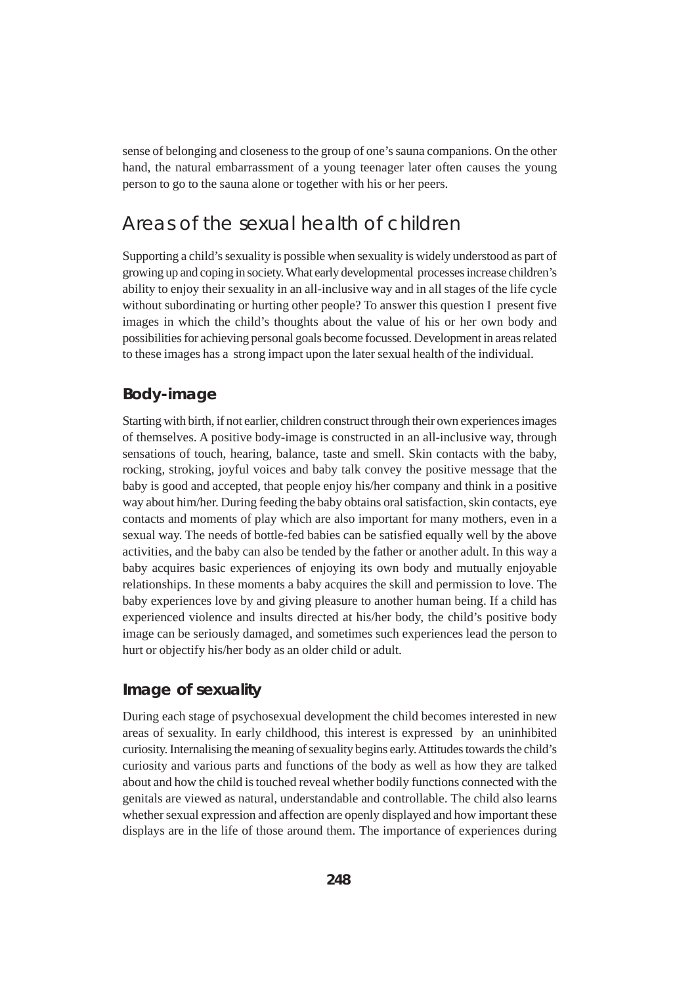sense of belonging and closeness to the group of one's sauna companions. On the other hand, the natural embarrassment of a young teenager later often causes the young person to go to the sauna alone or together with his or her peers.

### Areas of the sexual health of children

Supporting a child's sexuality is possible when sexuality is widely understood as part of growing up and coping in society. What early developmental processes increase children's ability to enjoy their sexuality in an all-inclusive way and in all stages of the life cycle without subordinating or hurting other people? To answer this question I present five images in which the child's thoughts about the value of his or her own body and possibilities for achieving personal goals become focussed. Development in areas related to these images has a strong impact upon the later sexual health of the individual.

#### **Body-image**

Starting with birth, if not earlier, children construct through their own experiences images of themselves. A positive body-image is constructed in an all-inclusive way, through sensations of touch, hearing, balance, taste and smell. Skin contacts with the baby, rocking, stroking, joyful voices and baby talk convey the positive message that the baby is good and accepted, that people enjoy his/her company and think in a positive way about him/her. During feeding the baby obtains oral satisfaction, skin contacts, eye contacts and moments of play which are also important for many mothers, even in a sexual way. The needs of bottle-fed babies can be satisfied equally well by the above activities, and the baby can also be tended by the father or another adult. In this way a baby acquires basic experiences of enjoying its own body and mutually enjoyable relationships. In these moments a baby acquires the skill and permission to love. The baby experiences love by and giving pleasure to another human being. If a child has experienced violence and insults directed at his/her body, the child's positive body image can be seriously damaged, and sometimes such experiences lead the person to hurt or objectify his/her body as an older child or adult.

#### **Image of sexuality**

During each stage of psychosexual development the child becomes interested in new areas of sexuality. In early childhood, this interest is expressed by an uninhibited curiosity. Internalising the meaning of sexuality begins early. Attitudes towards the child's curiosity and various parts and functions of the body as well as how they are talked about and how the child is touched reveal whether bodily functions connected with the genitals are viewed as natural, understandable and controllable. The child also learns whether sexual expression and affection are openly displayed and how important these displays are in the life of those around them. The importance of experiences during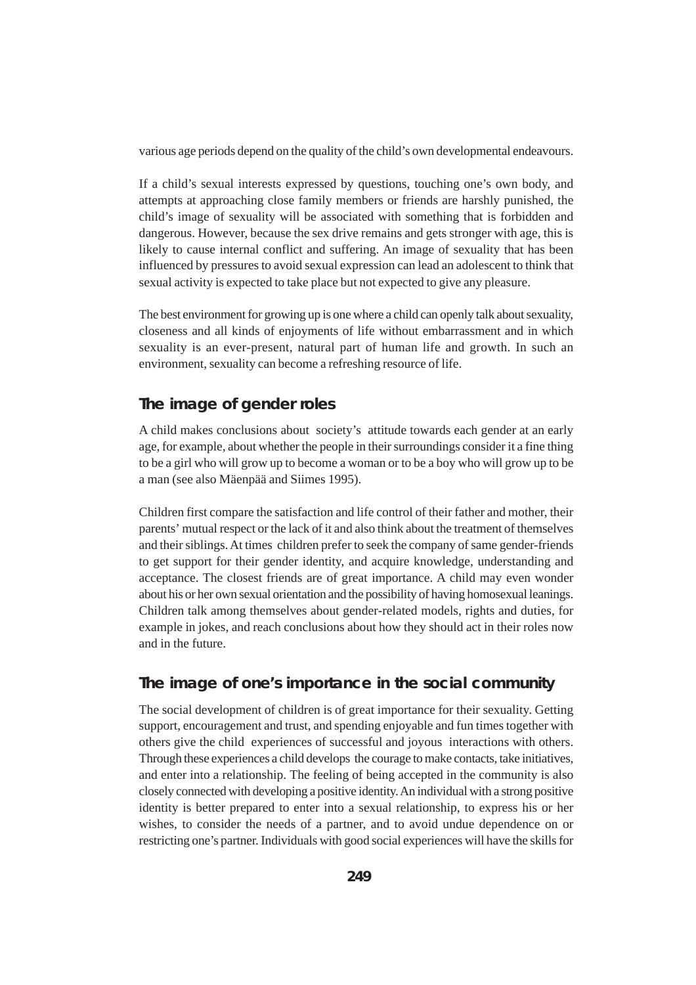various age periods depend on the quality of the child's own developmental endeavours.

If a child's sexual interests expressed by questions, touching one's own body, and attempts at approaching close family members or friends are harshly punished, the child's image of sexuality will be associated with something that is forbidden and dangerous. However, because the sex drive remains and gets stronger with age, this is likely to cause internal conflict and suffering. An image of sexuality that has been influenced by pressures to avoid sexual expression can lead an adolescent to think that sexual activity is expected to take place but not expected to give any pleasure.

The best environment for growing up is one where a child can openly talk about sexuality, closeness and all kinds of enjoyments of life without embarrassment and in which sexuality is an ever-present, natural part of human life and growth. In such an environment, sexuality can become a refreshing resource of life.

### **The image of gender roles**

A child makes conclusions about society's attitude towards each gender at an early age, for example, about whether the people in their surroundings consider it a fine thing to be a girl who will grow up to become a woman or to be a boy who will grow up to be a man (see also Mäenpää and Siimes 1995).

Children first compare the satisfaction and life control of their father and mother, their parents' mutual respect or the lack of it and also think about the treatment of themselves and their siblings. At times children prefer to seek the company of same gender-friends to get support for their gender identity, and acquire knowledge, understanding and acceptance. The closest friends are of great importance. A child may even wonder about his or her own sexual orientation and the possibility of having homosexual leanings. Children talk among themselves about gender-related models, rights and duties, for example in jokes, and reach conclusions about how they should act in their roles now and in the future.

#### **The image of one's importance in the social community**

The social development of children is of great importance for their sexuality. Getting support, encouragement and trust, and spending enjoyable and fun times together with others give the child experiences of successful and joyous interactions with others. Through these experiences a child develops the courage to make contacts, take initiatives, and enter into a relationship. The feeling of being accepted in the community is also closely connected with developing a positive identity. An individual with a strong positive identity is better prepared to enter into a sexual relationship, to express his or her wishes, to consider the needs of a partner, and to avoid undue dependence on or restricting one's partner. Individuals with good social experiences will have the skills for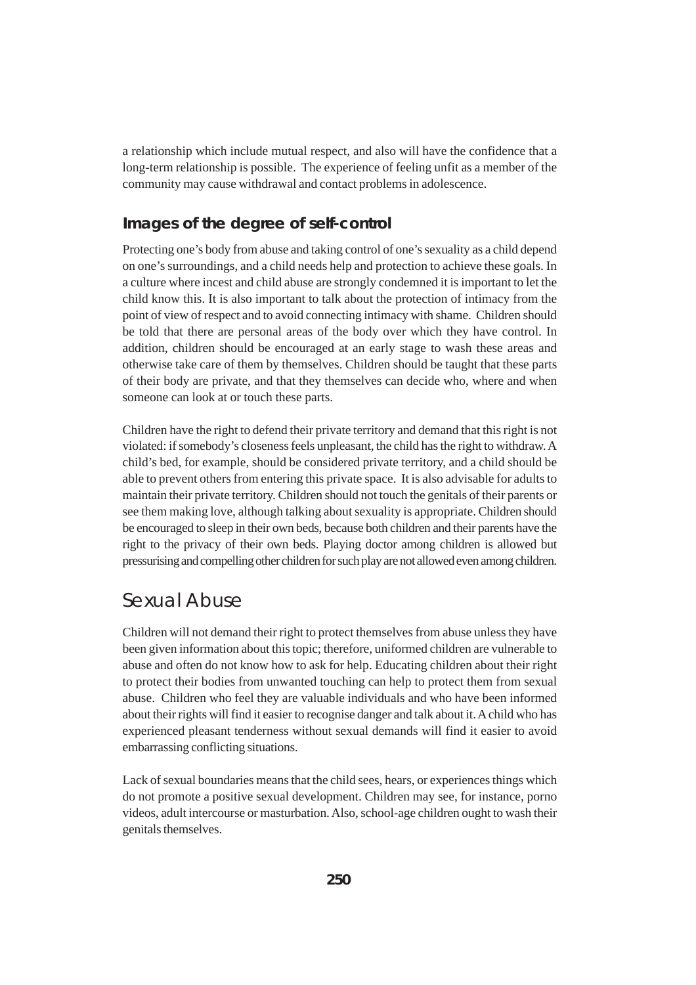a relationship which include mutual respect, and also will have the confidence that a long-term relationship is possible. The experience of feeling unfit as a member of the community may cause withdrawal and contact problems in adolescence.

### **Images of the degree of self-control**

Protecting one's body from abuse and taking control of one's sexuality as a child depend on one's surroundings, and a child needs help and protection to achieve these goals. In a culture where incest and child abuse are strongly condemned it is important to let the child know this. It is also important to talk about the protection of intimacy from the point of view of respect and to avoid connecting intimacy with shame. Children should be told that there are personal areas of the body over which they have control. In addition, children should be encouraged at an early stage to wash these areas and otherwise take care of them by themselves. Children should be taught that these parts of their body are private, and that they themselves can decide who, where and when someone can look at or touch these parts.

Children have the right to defend their private territory and demand that this right is not violated: if somebody's closeness feels unpleasant, the child has the right to withdraw. A child's bed, for example, should be considered private territory, and a child should be able to prevent others from entering this private space. It is also advisable for adults to maintain their private territory. Children should not touch the genitals of their parents or see them making love, although talking about sexuality is appropriate. Children should be encouraged to sleep in their own beds, because both children and their parents have the right to the privacy of their own beds. Playing doctor among children is allowed but pressurising and compelling other children for such play are not allowed even among children.

### Sexual Abuse

Children will not demand their right to protect themselves from abuse unless they have been given information about this topic; therefore, uniformed children are vulnerable to abuse and often do not know how to ask for help. Educating children about their right to protect their bodies from unwanted touching can help to protect them from sexual abuse. Children who feel they are valuable individuals and who have been informed about their rights will find it easier to recognise danger and talk about it. A child who has experienced pleasant tenderness without sexual demands will find it easier to avoid embarrassing conflicting situations.

Lack of sexual boundaries means that the child sees, hears, or experiences things which do not promote a positive sexual development. Children may see, for instance, porno videos, adult intercourse or masturbation. Also, school-age children ought to wash their genitals themselves.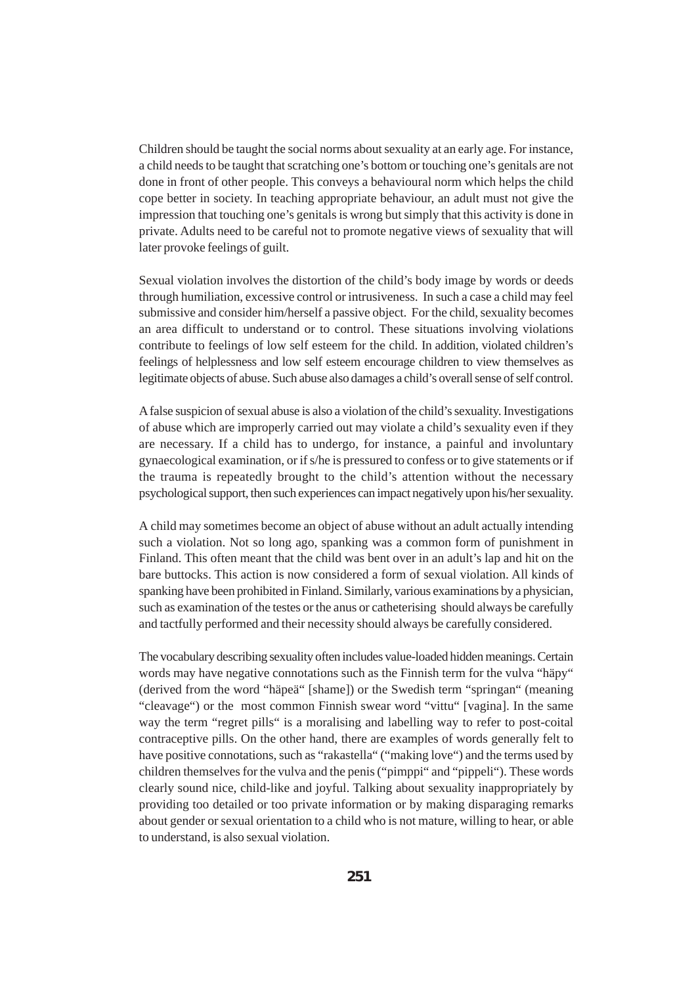Children should be taught the social norms about sexuality at an early age. For instance, a child needs to be taught that scratching one's bottom or touching one's genitals are not done in front of other people. This conveys a behavioural norm which helps the child cope better in society. In teaching appropriate behaviour, an adult must not give the impression that touching one's genitals is wrong but simply that this activity is done in private. Adults need to be careful not to promote negative views of sexuality that will later provoke feelings of guilt.

Sexual violation involves the distortion of the child's body image by words or deeds through humiliation, excessive control or intrusiveness. In such a case a child may feel submissive and consider him/herself a passive object. For the child, sexuality becomes an area difficult to understand or to control. These situations involving violations contribute to feelings of low self esteem for the child. In addition, violated children's feelings of helplessness and low self esteem encourage children to view themselves as legitimate objects of abuse. Such abuse also damages a child's overall sense of self control.

A false suspicion of sexual abuse is also a violation of the child's sexuality. Investigations of abuse which are improperly carried out may violate a child's sexuality even if they are necessary. If a child has to undergo, for instance, a painful and involuntary gynaecological examination, or if s/he is pressured to confess or to give statements or if the trauma is repeatedly brought to the child's attention without the necessary psychological support, then such experiences can impact negatively upon his/her sexuality.

A child may sometimes become an object of abuse without an adult actually intending such a violation. Not so long ago, spanking was a common form of punishment in Finland. This often meant that the child was bent over in an adult's lap and hit on the bare buttocks. This action is now considered a form of sexual violation. All kinds of spanking have been prohibited in Finland. Similarly, various examinations by a physician, such as examination of the testes or the anus or catheterising should always be carefully and tactfully performed and their necessity should always be carefully considered.

The vocabulary describing sexuality often includes value-loaded hidden meanings. Certain words may have negative connotations such as the Finnish term for the vulva "häpy" (derived from the word "häpeä" [shame]) or the Swedish term "springan" (meaning "cleavage") or the most common Finnish swear word "vittu" [vagina]. In the same way the term "regret pills" is a moralising and labelling way to refer to post-coital contraceptive pills. On the other hand, there are examples of words generally felt to have positive connotations, such as "rakastella" ("making love") and the terms used by children themselves for the vulva and the penis ("pimppi" and "pippeli"). These words clearly sound nice, child-like and joyful. Talking about sexuality inappropriately by providing too detailed or too private information or by making disparaging remarks about gender or sexual orientation to a child who is not mature, willing to hear, or able to understand, is also sexual violation.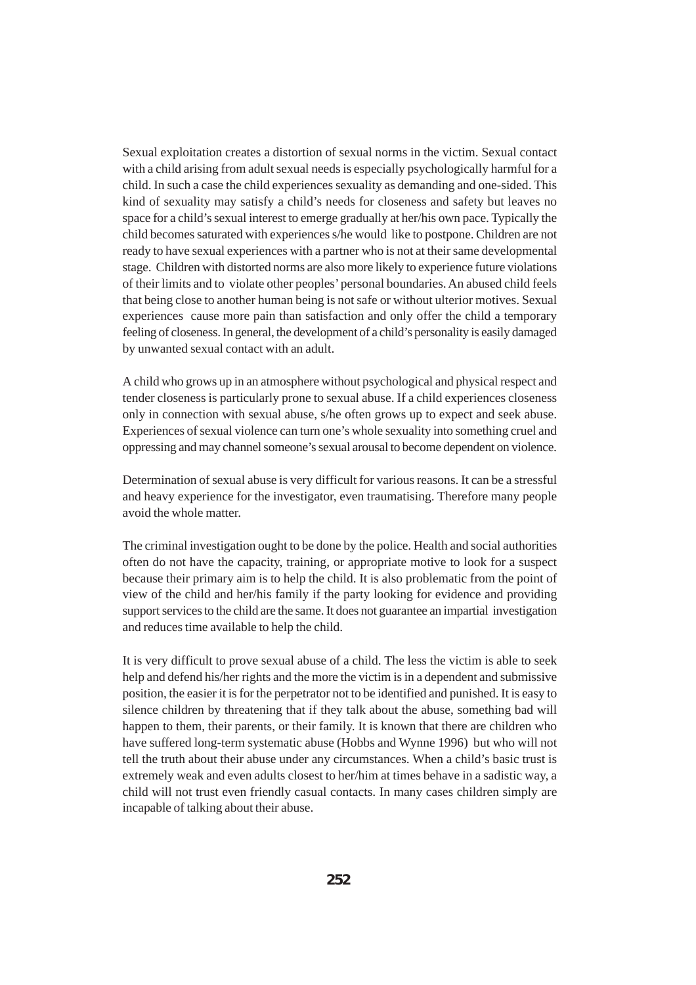Sexual exploitation creates a distortion of sexual norms in the victim. Sexual contact with a child arising from adult sexual needs is especially psychologically harmful for a child. In such a case the child experiences sexuality as demanding and one-sided. This kind of sexuality may satisfy a child's needs for closeness and safety but leaves no space for a child's sexual interest to emerge gradually at her/his own pace. Typically the child becomes saturated with experiences s/he would like to postpone. Children are not ready to have sexual experiences with a partner who is not at their same developmental stage. Children with distorted norms are also more likely to experience future violations of their limits and to violate other peoples' personal boundaries. An abused child feels that being close to another human being is not safe or without ulterior motives. Sexual experiences cause more pain than satisfaction and only offer the child a temporary feeling of closeness. In general, the development of a child's personality is easily damaged by unwanted sexual contact with an adult.

A child who grows up in an atmosphere without psychological and physical respect and tender closeness is particularly prone to sexual abuse. If a child experiences closeness only in connection with sexual abuse, s/he often grows up to expect and seek abuse. Experiences of sexual violence can turn one's whole sexuality into something cruel and oppressing and may channel someone's sexual arousal to become dependent on violence.

Determination of sexual abuse is very difficult for various reasons. It can be a stressful and heavy experience for the investigator, even traumatising. Therefore many people avoid the whole matter.

The criminal investigation ought to be done by the police. Health and social authorities often do not have the capacity, training, or appropriate motive to look for a suspect because their primary aim is to help the child. It is also problematic from the point of view of the child and her/his family if the party looking for evidence and providing support services to the child are the same. It does not guarantee an impartial investigation and reduces time available to help the child.

It is very difficult to prove sexual abuse of a child. The less the victim is able to seek help and defend his/her rights and the more the victim is in a dependent and submissive position, the easier it is for the perpetrator not to be identified and punished. It is easy to silence children by threatening that if they talk about the abuse, something bad will happen to them, their parents, or their family. It is known that there are children who have suffered long-term systematic abuse (Hobbs and Wynne 1996) but who will not tell the truth about their abuse under any circumstances. When a child's basic trust is extremely weak and even adults closest to her/him at times behave in a sadistic way, a child will not trust even friendly casual contacts. In many cases children simply are incapable of talking about their abuse.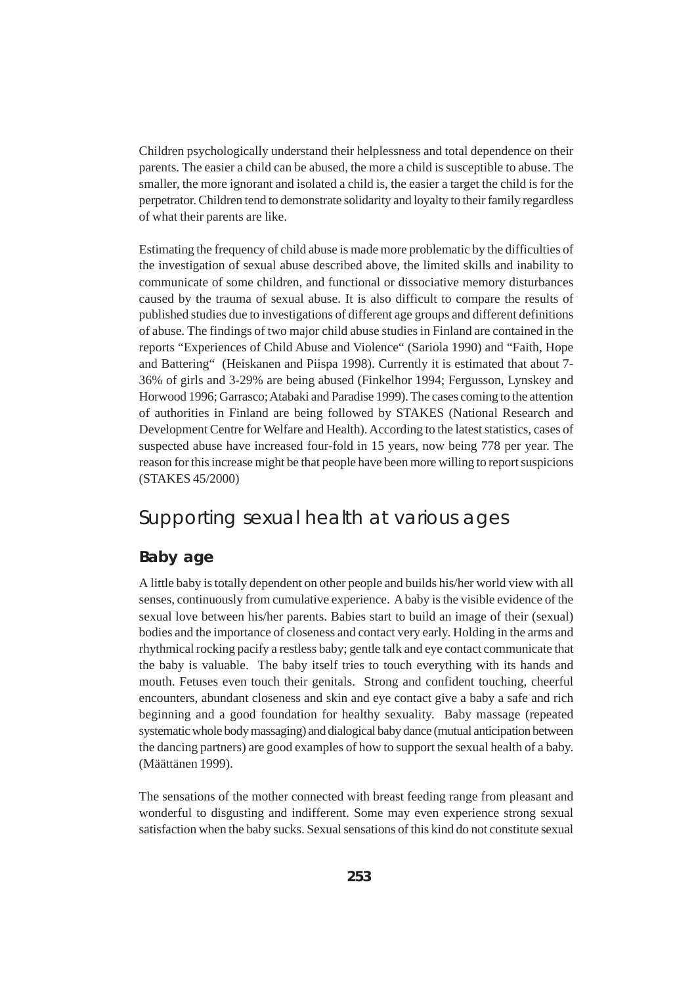Children psychologically understand their helplessness and total dependence on their parents. The easier a child can be abused, the more a child is susceptible to abuse. The smaller, the more ignorant and isolated a child is, the easier a target the child is for the perpetrator. Children tend to demonstrate solidarity and loyalty to their family regardless of what their parents are like.

Estimating the frequency of child abuse is made more problematic by the difficulties of the investigation of sexual abuse described above, the limited skills and inability to communicate of some children, and functional or dissociative memory disturbances caused by the trauma of sexual abuse. It is also difficult to compare the results of published studies due to investigations of different age groups and different definitions of abuse. The findings of two major child abuse studies in Finland are contained in the reports "Experiences of Child Abuse and Violence" (Sariola 1990) and "Faith, Hope and Battering" (Heiskanen and Piispa 1998). Currently it is estimated that about 7- 36% of girls and 3-29% are being abused (Finkelhor 1994; Fergusson, Lynskey and Horwood 1996; Garrasco; Atabaki and Paradise 1999). The cases coming to the attention of authorities in Finland are being followed by STAKES (National Research and Development Centre for Welfare and Health). According to the latest statistics, cases of suspected abuse have increased four-fold in 15 years, now being 778 per year. The reason for this increase might be that people have been more willing to report suspicions (STAKES 45/2000)

### Supporting sexual health at various ages

### **Baby age**

A little baby is totally dependent on other people and builds his/her world view with all senses, continuously from cumulative experience. A baby is the visible evidence of the sexual love between his/her parents. Babies start to build an image of their (sexual) bodies and the importance of closeness and contact very early. Holding in the arms and rhythmical rocking pacify a restless baby; gentle talk and eye contact communicate that the baby is valuable. The baby itself tries to touch everything with its hands and mouth. Fetuses even touch their genitals. Strong and confident touching, cheerful encounters, abundant closeness and skin and eye contact give a baby a safe and rich beginning and a good foundation for healthy sexuality. Baby massage (repeated systematic whole body massaging) and dialogical baby dance (mutual anticipation between the dancing partners) are good examples of how to support the sexual health of a baby. (Määttänen 1999).

The sensations of the mother connected with breast feeding range from pleasant and wonderful to disgusting and indifferent. Some may even experience strong sexual satisfaction when the baby sucks. Sexual sensations of this kind do not constitute sexual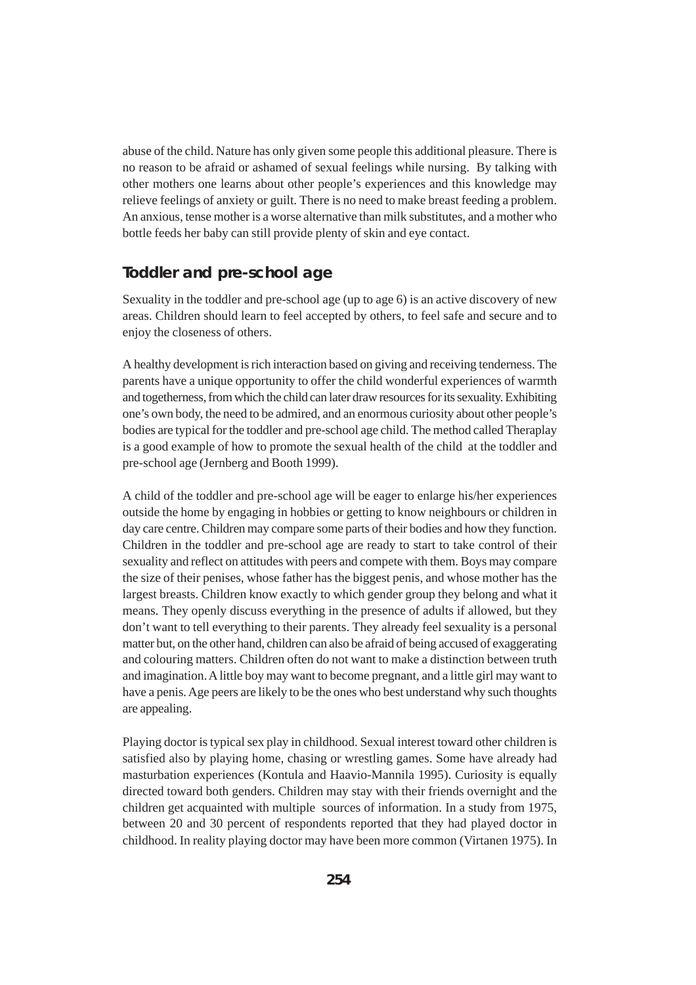abuse of the child. Nature has only given some people this additional pleasure. There is no reason to be afraid or ashamed of sexual feelings while nursing. By talking with other mothers one learns about other people's experiences and this knowledge may relieve feelings of anxiety or guilt. There is no need to make breast feeding a problem. An anxious, tense mother is a worse alternative than milk substitutes, and a mother who bottle feeds her baby can still provide plenty of skin and eye contact.

#### **Toddler and pre-school age**

Sexuality in the toddler and pre-school age (up to age 6) is an active discovery of new areas. Children should learn to feel accepted by others, to feel safe and secure and to enjoy the closeness of others.

A healthy development is rich interaction based on giving and receiving tenderness. The parents have a unique opportunity to offer the child wonderful experiences of warmth and togetherness, from which the child can later draw resources for its sexuality. Exhibiting one's own body, the need to be admired, and an enormous curiosity about other people's bodies are typical for the toddler and pre-school age child. The method called Theraplay is a good example of how to promote the sexual health of the child at the toddler and pre-school age (Jernberg and Booth 1999).

A child of the toddler and pre-school age will be eager to enlarge his/her experiences outside the home by engaging in hobbies or getting to know neighbours or children in day care centre. Children may compare some parts of their bodies and how they function. Children in the toddler and pre-school age are ready to start to take control of their sexuality and reflect on attitudes with peers and compete with them. Boys may compare the size of their penises, whose father has the biggest penis, and whose mother has the largest breasts. Children know exactly to which gender group they belong and what it means. They openly discuss everything in the presence of adults if allowed, but they don't want to tell everything to their parents. They already feel sexuality is a personal matter but, on the other hand, children can also be afraid of being accused of exaggerating and colouring matters. Children often do not want to make a distinction between truth and imagination. A little boy may want to become pregnant, and a little girl may want to have a penis. Age peers are likely to be the ones who best understand why such thoughts are appealing.

Playing doctor is typical sex play in childhood. Sexual interest toward other children is satisfied also by playing home, chasing or wrestling games. Some have already had masturbation experiences (Kontula and Haavio-Mannila 1995). Curiosity is equally directed toward both genders. Children may stay with their friends overnight and the children get acquainted with multiple sources of information. In a study from 1975, between 20 and 30 percent of respondents reported that they had played doctor in childhood. In reality playing doctor may have been more common (Virtanen 1975). In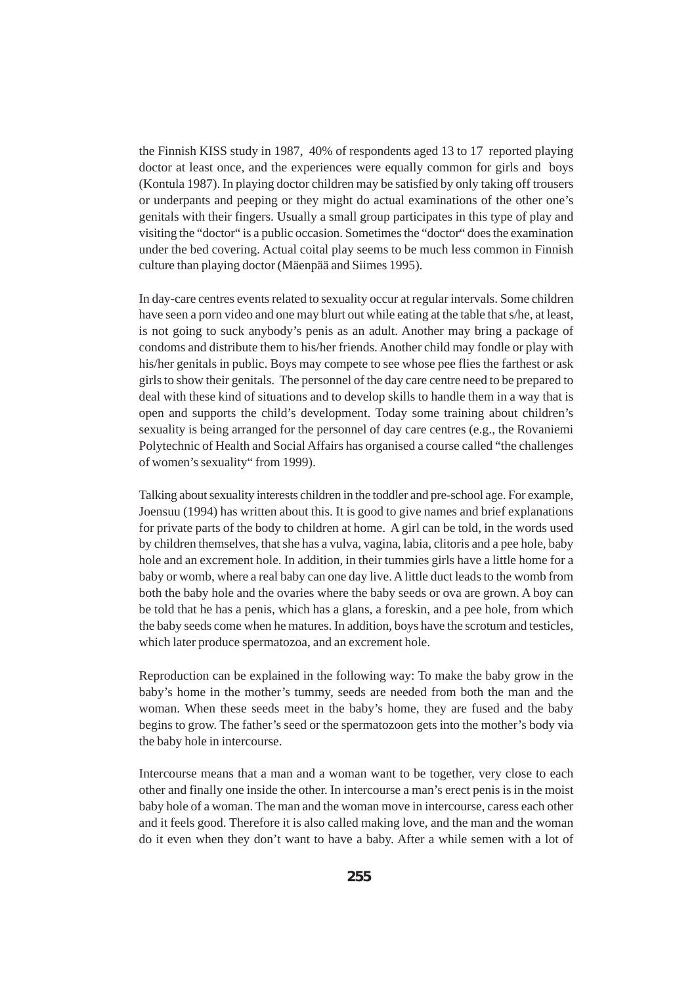the Finnish KISS study in 1987, 40% of respondents aged 13 to 17 reported playing doctor at least once, and the experiences were equally common for girls and boys (Kontula 1987). In playing doctor children may be satisfied by only taking off trousers or underpants and peeping or they might do actual examinations of the other one's genitals with their fingers. Usually a small group participates in this type of play and visiting the "doctor" is a public occasion. Sometimes the "doctor" does the examination under the bed covering. Actual coital play seems to be much less common in Finnish culture than playing doctor (Mäenpää and Siimes 1995).

In day-care centres events related to sexuality occur at regular intervals. Some children have seen a porn video and one may blurt out while eating at the table that s/he, at least, is not going to suck anybody's penis as an adult. Another may bring a package of condoms and distribute them to his/her friends. Another child may fondle or play with his/her genitals in public. Boys may compete to see whose pee flies the farthest or ask girls to show their genitals. The personnel of the day care centre need to be prepared to deal with these kind of situations and to develop skills to handle them in a way that is open and supports the child's development. Today some training about children's sexuality is being arranged for the personnel of day care centres (e.g., the Rovaniemi Polytechnic of Health and Social Affairs has organised a course called "the challenges of women's sexuality" from 1999).

Talking about sexuality interests children in the toddler and pre-school age. For example, Joensuu (1994) has written about this. It is good to give names and brief explanations for private parts of the body to children at home. A girl can be told, in the words used by children themselves, that she has a vulva, vagina, labia, clitoris and a pee hole, baby hole and an excrement hole. In addition, in their tummies girls have a little home for a baby or womb, where a real baby can one day live. A little duct leads to the womb from both the baby hole and the ovaries where the baby seeds or ova are grown. A boy can be told that he has a penis, which has a glans, a foreskin, and a pee hole, from which the baby seeds come when he matures. In addition, boys have the scrotum and testicles, which later produce spermatozoa, and an excrement hole.

Reproduction can be explained in the following way: To make the baby grow in the baby's home in the mother's tummy, seeds are needed from both the man and the woman. When these seeds meet in the baby's home, they are fused and the baby begins to grow. The father's seed or the spermatozoon gets into the mother's body via the baby hole in intercourse.

Intercourse means that a man and a woman want to be together, very close to each other and finally one inside the other. In intercourse a man's erect penis is in the moist baby hole of a woman. The man and the woman move in intercourse, caress each other and it feels good. Therefore it is also called making love, and the man and the woman do it even when they don't want to have a baby. After a while semen with a lot of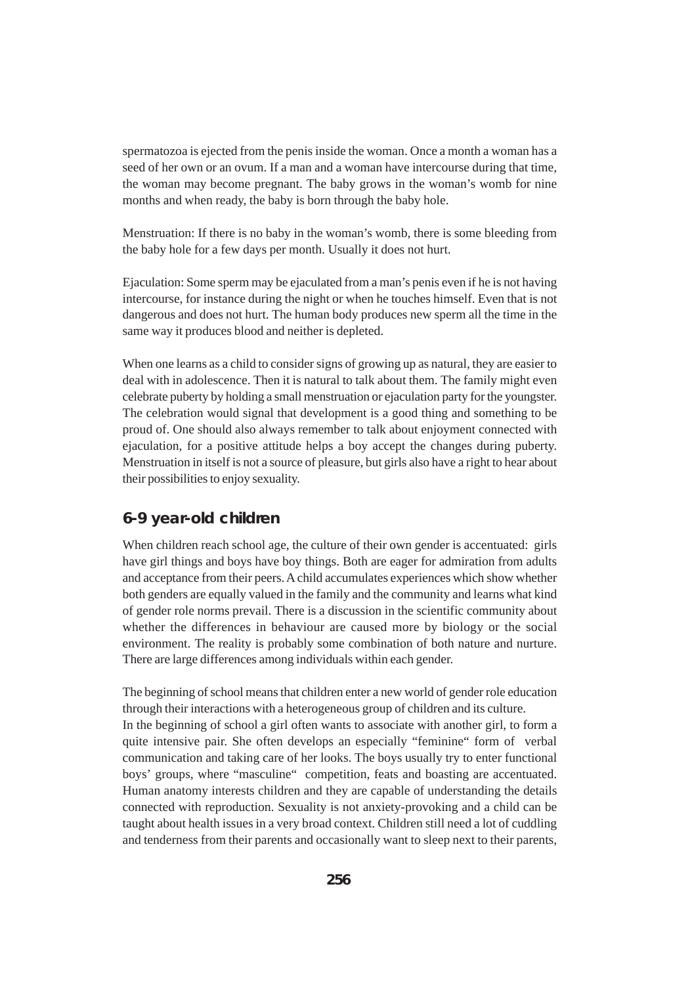spermatozoa is ejected from the penis inside the woman. Once a month a woman has a seed of her own or an ovum. If a man and a woman have intercourse during that time, the woman may become pregnant. The baby grows in the woman's womb for nine months and when ready, the baby is born through the baby hole.

Menstruation: If there is no baby in the woman's womb, there is some bleeding from the baby hole for a few days per month. Usually it does not hurt.

Ejaculation: Some sperm may be ejaculated from a man's penis even if he is not having intercourse, for instance during the night or when he touches himself. Even that is not dangerous and does not hurt. The human body produces new sperm all the time in the same way it produces blood and neither is depleted.

When one learns as a child to consider signs of growing up as natural, they are easier to deal with in adolescence. Then it is natural to talk about them. The family might even celebrate puberty by holding a small menstruation or ejaculation party for the youngster. The celebration would signal that development is a good thing and something to be proud of. One should also always remember to talk about enjoyment connected with ejaculation, for a positive attitude helps a boy accept the changes during puberty. Menstruation in itself is not a source of pleasure, but girls also have a right to hear about their possibilities to enjoy sexuality.

#### **6-9 year-old children**

When children reach school age, the culture of their own gender is accentuated: girls have girl things and boys have boy things. Both are eager for admiration from adults and acceptance from their peers. A child accumulates experiences which show whether both genders are equally valued in the family and the community and learns what kind of gender role norms prevail. There is a discussion in the scientific community about whether the differences in behaviour are caused more by biology or the social environment. The reality is probably some combination of both nature and nurture. There are large differences among individuals within each gender.

The beginning of school means that children enter a new world of gender role education through their interactions with a heterogeneous group of children and its culture. In the beginning of school a girl often wants to associate with another girl, to form a quite intensive pair. She often develops an especially "feminine" form of verbal communication and taking care of her looks. The boys usually try to enter functional boys' groups, where "masculine" competition, feats and boasting are accentuated. Human anatomy interests children and they are capable of understanding the details connected with reproduction. Sexuality is not anxiety-provoking and a child can be taught about health issues in a very broad context. Children still need a lot of cuddling and tenderness from their parents and occasionally want to sleep next to their parents,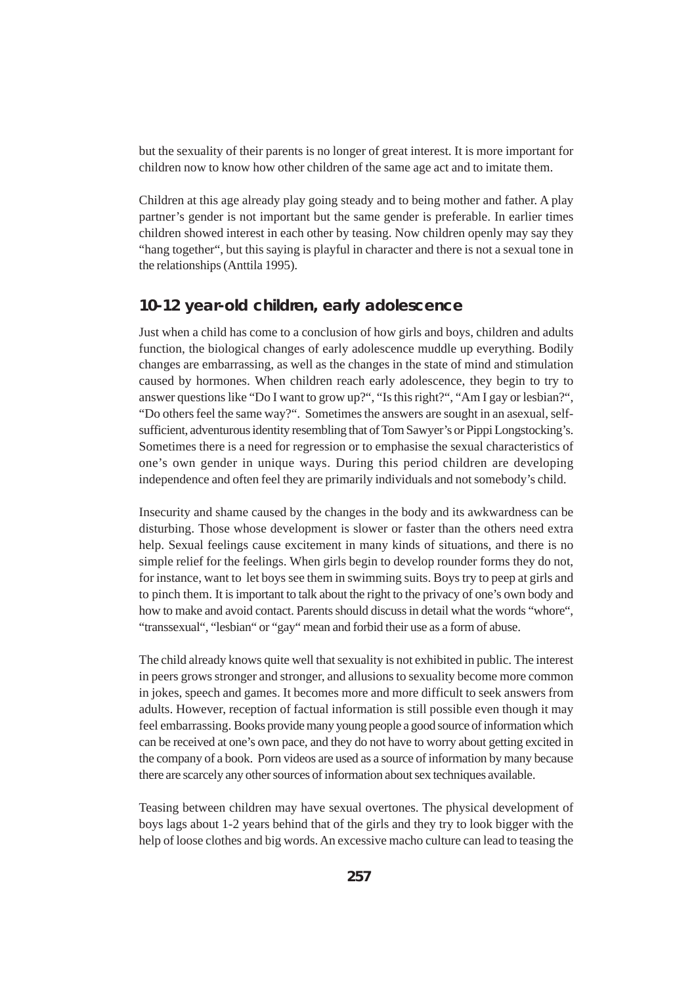but the sexuality of their parents is no longer of great interest. It is more important for children now to know how other children of the same age act and to imitate them.

Children at this age already play going steady and to being mother and father. A play partner's gender is not important but the same gender is preferable. In earlier times children showed interest in each other by teasing. Now children openly may say they "hang together", but this saying is playful in character and there is not a sexual tone in the relationships (Anttila 1995).

#### **10-12 year-old children, early adolescence**

Just when a child has come to a conclusion of how girls and boys, children and adults function, the biological changes of early adolescence muddle up everything. Bodily changes are embarrassing, as well as the changes in the state of mind and stimulation caused by hormones. When children reach early adolescence, they begin to try to answer questions like "Do I want to grow up?", "Is this right?", "Am I gay or lesbian?", "Do others feel the same way?". Sometimes the answers are sought in an asexual, selfsufficient, adventurous identity resembling that of Tom Sawyer's or Pippi Longstocking's. Sometimes there is a need for regression or to emphasise the sexual characteristics of one's own gender in unique ways. During this period children are developing independence and often feel they are primarily individuals and not somebody's child.

Insecurity and shame caused by the changes in the body and its awkwardness can be disturbing. Those whose development is slower or faster than the others need extra help. Sexual feelings cause excitement in many kinds of situations, and there is no simple relief for the feelings. When girls begin to develop rounder forms they do not, for instance, want to let boys see them in swimming suits. Boys try to peep at girls and to pinch them. It is important to talk about the right to the privacy of one's own body and how to make and avoid contact. Parents should discuss in detail what the words "whore", "transsexual", "lesbian" or "gay" mean and forbid their use as a form of abuse.

The child already knows quite well that sexuality is not exhibited in public. The interest in peers grows stronger and stronger, and allusions to sexuality become more common in jokes, speech and games. It becomes more and more difficult to seek answers from adults. However, reception of factual information is still possible even though it may feel embarrassing. Books provide many young people a good source of information which can be received at one's own pace, and they do not have to worry about getting excited in the company of a book. Porn videos are used as a source of information by many because there are scarcely any other sources of information about sex techniques available.

Teasing between children may have sexual overtones. The physical development of boys lags about 1-2 years behind that of the girls and they try to look bigger with the help of loose clothes and big words. An excessive macho culture can lead to teasing the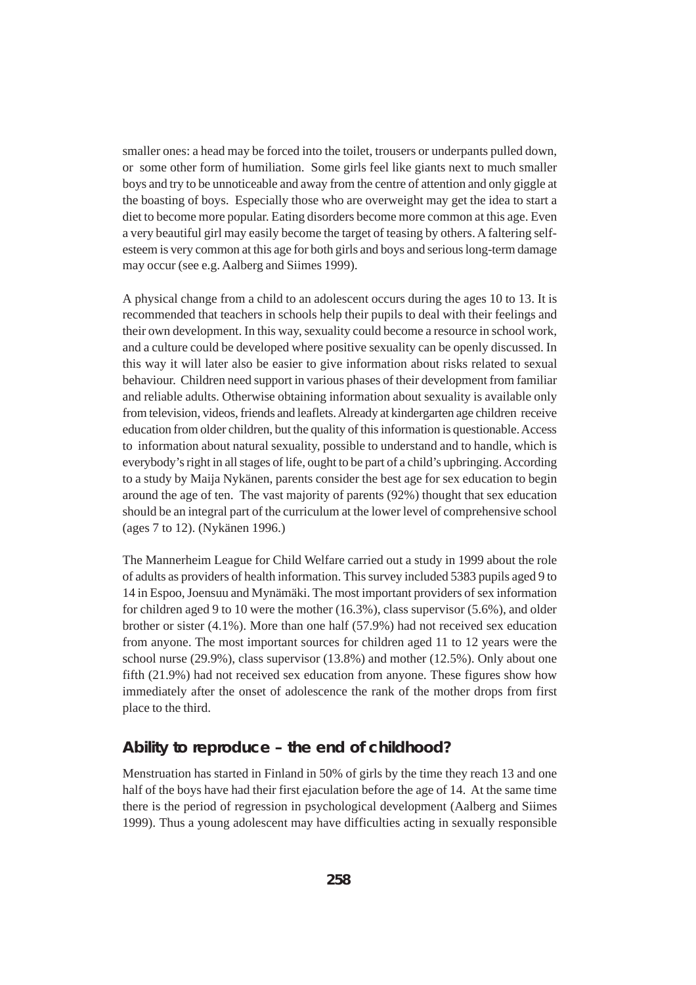smaller ones: a head may be forced into the toilet, trousers or underpants pulled down, or some other form of humiliation. Some girls feel like giants next to much smaller boys and try to be unnoticeable and away from the centre of attention and only giggle at the boasting of boys. Especially those who are overweight may get the idea to start a diet to become more popular. Eating disorders become more common at this age. Even a very beautiful girl may easily become the target of teasing by others. A faltering selfesteem is very common at this age for both girls and boys and serious long-term damage may occur (see e.g. Aalberg and Siimes 1999).

A physical change from a child to an adolescent occurs during the ages 10 to 13. It is recommended that teachers in schools help their pupils to deal with their feelings and their own development. In this way, sexuality could become a resource in school work, and a culture could be developed where positive sexuality can be openly discussed. In this way it will later also be easier to give information about risks related to sexual behaviour. Children need support in various phases of their development from familiar and reliable adults. Otherwise obtaining information about sexuality is available only from television, videos, friends and leaflets. Already at kindergarten age children receive education from older children, but the quality of this information is questionable. Access to information about natural sexuality, possible to understand and to handle, which is everybody's right in all stages of life, ought to be part of a child's upbringing. According to a study by Maija Nykänen, parents consider the best age for sex education to begin around the age of ten. The vast majority of parents (92%) thought that sex education should be an integral part of the curriculum at the lower level of comprehensive school (ages 7 to 12). (Nykänen 1996.)

The Mannerheim League for Child Welfare carried out a study in 1999 about the role of adults as providers of health information. This survey included 5383 pupils aged 9 to 14 in Espoo, Joensuu and Mynämäki. The most important providers of sex information for children aged 9 to 10 were the mother (16.3%), class supervisor (5.6%), and older brother or sister (4.1%). More than one half (57.9%) had not received sex education from anyone. The most important sources for children aged 11 to 12 years were the school nurse (29.9%), class supervisor (13.8%) and mother (12.5%). Only about one fifth (21.9%) had not received sex education from anyone. These figures show how immediately after the onset of adolescence the rank of the mother drops from first place to the third.

#### **Ability to reproduce – the end of childhood?**

Menstruation has started in Finland in 50% of girls by the time they reach 13 and one half of the boys have had their first ejaculation before the age of 14. At the same time there is the period of regression in psychological development (Aalberg and Siimes 1999). Thus a young adolescent may have difficulties acting in sexually responsible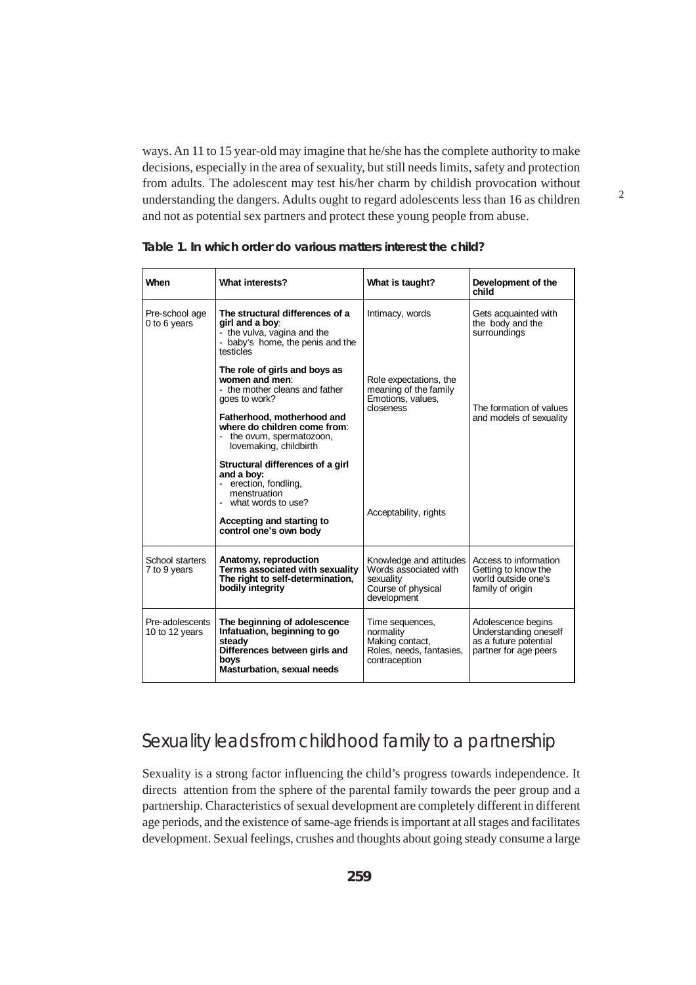ways. An 11 to 15 year-old may imagine that he/she has the complete authority to make decisions, especially in the area of sexuality, but still needs limits, safety and protection from adults. The adolescent may test his/her charm by childish provocation without understanding the dangers. Adults ought to regard adolescents less than 16 as children and not as potential sex partners and protect these young people from abuse.

2

| When                              | What interests?                                                                                                                                                        | What is taught?                                                                                              | Development of the<br>child                                                                   |
|-----------------------------------|------------------------------------------------------------------------------------------------------------------------------------------------------------------------|--------------------------------------------------------------------------------------------------------------|-----------------------------------------------------------------------------------------------|
| Pre-school age<br>0 to 6 years    | The structural differences of a<br>girl and a boy:<br>- the vulva, vagina and the<br>- baby's home, the penis and the<br>testicles                                     | Intimacy, words                                                                                              | Gets acquainted with<br>the body and the<br>surroundings                                      |
|                                   | The role of girls and boys as<br>women and men:<br>- the mother cleans and father<br>goes to work?                                                                     | Role expectations, the<br>meaning of the family<br>Emotions, values,<br>closeness<br>The formation of values |                                                                                               |
|                                   | Fatherhood, motherhood and<br>where do children come from:<br>- the ovum, spermatozoon,<br>lovemaking, childbirth                                                      |                                                                                                              | and models of sexuality                                                                       |
|                                   | Structural differences of a girl<br>and a boy:<br>- erection, fondling,<br>menstruation<br>- what words to use?<br>Accepting and starting to<br>control one's own body | Acceptability, rights                                                                                        |                                                                                               |
| School starters<br>7 to 9 years   | Anatomy, reproduction<br>Terms associated with sexuality<br>The right to self-determination,<br>bodily integrity                                                       | Knowledge and attitudes<br>Words associated with<br>sexuality<br>Course of physical<br>development           | Access to information<br>Getting to know the<br>world outside one's<br>family of origin       |
| Pre-adolescents<br>10 to 12 years | The beginning of adolescence<br>Infatuation, beginning to go<br>steady<br>Differences between girls and<br>boys<br><b>Masturbation, sexual needs</b>                   | Time sequences,<br>normality<br>Making contact,<br>Roles, needs, fantasies,<br>contraception                 | Adolescence begins<br>Understanding oneself<br>as a future potential<br>partner for age peers |

| Table 1. In which order do various matters interest the child? |
|----------------------------------------------------------------|
|----------------------------------------------------------------|

# Sexuality leads from childhood family to a partnership

Sexuality is a strong factor influencing the child's progress towards independence. It directs attention from the sphere of the parental family towards the peer group and a partnership. Characteristics of sexual development are completely different in different age periods, and the existence of same-age friends is important at all stages and facilitates development. Sexual feelings, crushes and thoughts about going steady consume a large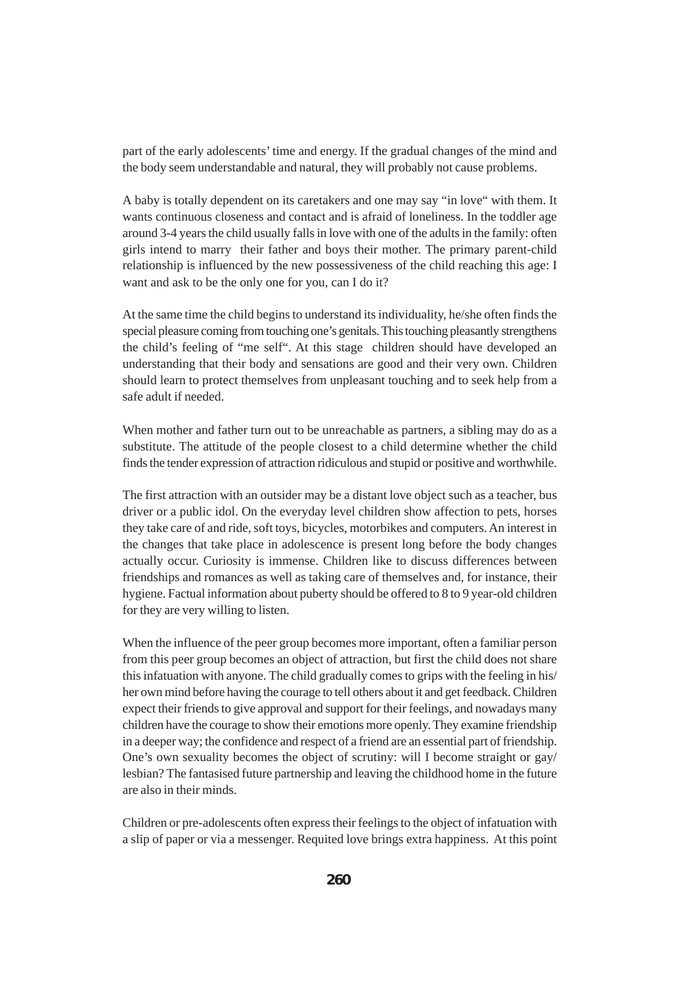part of the early adolescents' time and energy. If the gradual changes of the mind and the body seem understandable and natural, they will probably not cause problems.

A baby is totally dependent on its caretakers and one may say "in love" with them. It wants continuous closeness and contact and is afraid of loneliness. In the toddler age around 3-4 years the child usually falls in love with one of the adults in the family: often girls intend to marry their father and boys their mother. The primary parent-child relationship is influenced by the new possessiveness of the child reaching this age: I want and ask to be the only one for you, can I do it?

At the same time the child begins to understand its individuality, he/she often finds the special pleasure coming from touching one's genitals. This touching pleasantly strengthens the child's feeling of "me self". At this stage children should have developed an understanding that their body and sensations are good and their very own. Children should learn to protect themselves from unpleasant touching and to seek help from a safe adult if needed.

When mother and father turn out to be unreachable as partners, a sibling may do as a substitute. The attitude of the people closest to a child determine whether the child finds the tender expression of attraction ridiculous and stupid or positive and worthwhile.

The first attraction with an outsider may be a distant love object such as a teacher, bus driver or a public idol. On the everyday level children show affection to pets, horses they take care of and ride, soft toys, bicycles, motorbikes and computers. An interest in the changes that take place in adolescence is present long before the body changes actually occur. Curiosity is immense. Children like to discuss differences between friendships and romances as well as taking care of themselves and, for instance, their hygiene. Factual information about puberty should be offered to 8 to 9 year-old children for they are very willing to listen.

When the influence of the peer group becomes more important, often a familiar person from this peer group becomes an object of attraction, but first the child does not share this infatuation with anyone. The child gradually comes to grips with the feeling in his/ her own mind before having the courage to tell others about it and get feedback. Children expect their friends to give approval and support for their feelings, and nowadays many children have the courage to show their emotions more openly. They examine friendship in a deeper way; the confidence and respect of a friend are an essential part of friendship. One's own sexuality becomes the object of scrutiny: will I become straight or gay/ lesbian? The fantasised future partnership and leaving the childhood home in the future are also in their minds.

Children or pre-adolescents often express their feelings to the object of infatuation with a slip of paper or via a messenger. Requited love brings extra happiness. At this point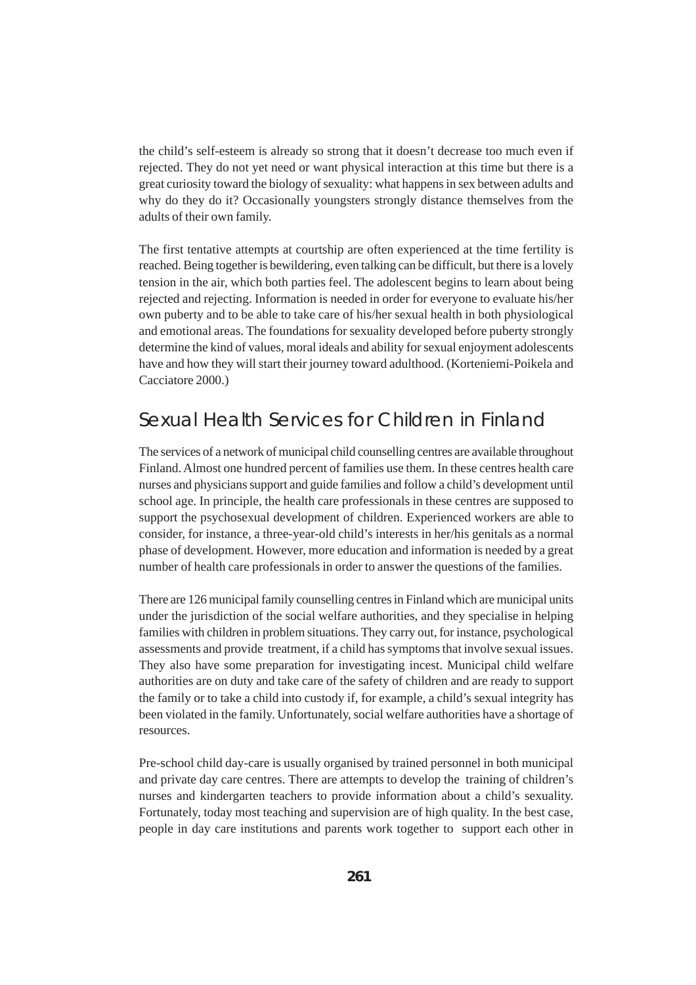the child's self-esteem is already so strong that it doesn't decrease too much even if rejected. They do not yet need or want physical interaction at this time but there is a great curiosity toward the biology of sexuality: what happens in sex between adults and why do they do it? Occasionally youngsters strongly distance themselves from the adults of their own family.

The first tentative attempts at courtship are often experienced at the time fertility is reached. Being together is bewildering, even talking can be difficult, but there is a lovely tension in the air, which both parties feel. The adolescent begins to learn about being rejected and rejecting. Information is needed in order for everyone to evaluate his/her own puberty and to be able to take care of his/her sexual health in both physiological and emotional areas. The foundations for sexuality developed before puberty strongly determine the kind of values, moral ideals and ability for sexual enjoyment adolescents have and how they will start their journey toward adulthood. (Korteniemi-Poikela and Cacciatore 2000.)

### Sexual Health Services for Children in Finland

The services of a network of municipal child counselling centres are available throughout Finland. Almost one hundred percent of families use them. In these centres health care nurses and physicians support and guide families and follow a child's development until school age. In principle, the health care professionals in these centres are supposed to support the psychosexual development of children. Experienced workers are able to consider, for instance, a three-year-old child's interests in her/his genitals as a normal phase of development. However, more education and information is needed by a great number of health care professionals in order to answer the questions of the families.

There are 126 municipal family counselling centres in Finland which are municipal units under the jurisdiction of the social welfare authorities, and they specialise in helping families with children in problem situations. They carry out, for instance, psychological assessments and provide treatment, if a child has symptoms that involve sexual issues. They also have some preparation for investigating incest. Municipal child welfare authorities are on duty and take care of the safety of children and are ready to support the family or to take a child into custody if, for example, a child's sexual integrity has been violated in the family. Unfortunately, social welfare authorities have a shortage of resources.

Pre-school child day-care is usually organised by trained personnel in both municipal and private day care centres. There are attempts to develop the training of children's nurses and kindergarten teachers to provide information about a child's sexuality. Fortunately, today most teaching and supervision are of high quality. In the best case, people in day care institutions and parents work together to support each other in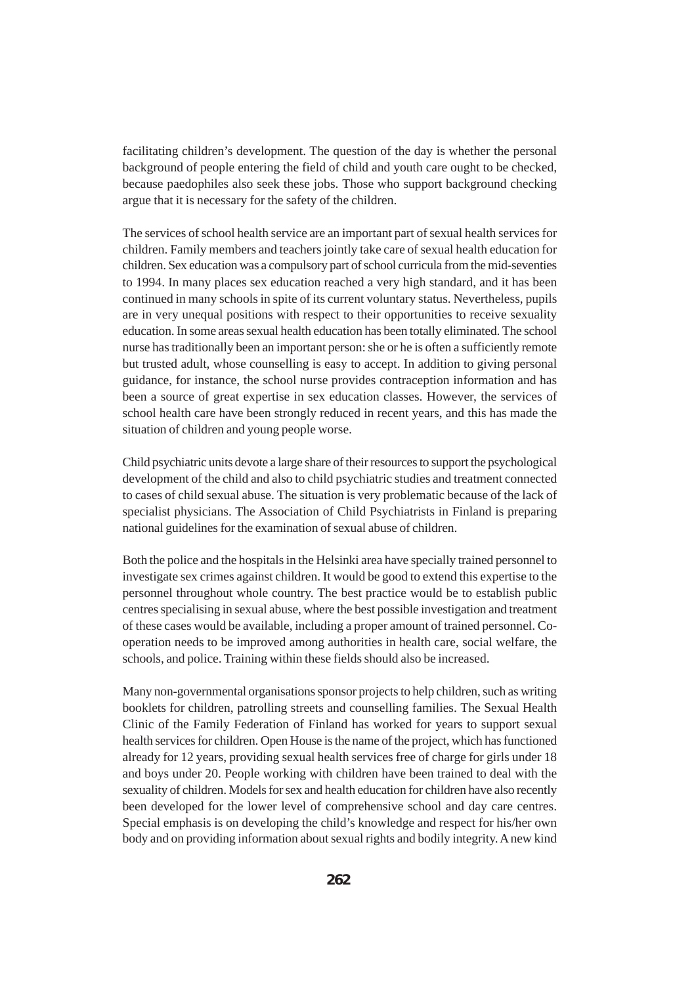facilitating children's development. The question of the day is whether the personal background of people entering the field of child and youth care ought to be checked, because paedophiles also seek these jobs. Those who support background checking argue that it is necessary for the safety of the children.

The services of school health service are an important part of sexual health services for children. Family members and teachers jointly take care of sexual health education for children. Sex education was a compulsory part of school curricula from the mid-seventies to 1994. In many places sex education reached a very high standard, and it has been continued in many schools in spite of its current voluntary status. Nevertheless, pupils are in very unequal positions with respect to their opportunities to receive sexuality education. In some areas sexual health education has been totally eliminated. The school nurse has traditionally been an important person: she or he is often a sufficiently remote but trusted adult, whose counselling is easy to accept. In addition to giving personal guidance, for instance, the school nurse provides contraception information and has been a source of great expertise in sex education classes. However, the services of school health care have been strongly reduced in recent years, and this has made the situation of children and young people worse.

Child psychiatric units devote a large share of their resources to support the psychological development of the child and also to child psychiatric studies and treatment connected to cases of child sexual abuse. The situation is very problematic because of the lack of specialist physicians. The Association of Child Psychiatrists in Finland is preparing national guidelines for the examination of sexual abuse of children.

Both the police and the hospitals in the Helsinki area have specially trained personnel to investigate sex crimes against children. It would be good to extend this expertise to the personnel throughout whole country. The best practice would be to establish public centres specialising in sexual abuse, where the best possible investigation and treatment of these cases would be available, including a proper amount of trained personnel. Cooperation needs to be improved among authorities in health care, social welfare, the schools, and police. Training within these fields should also be increased.

Many non-governmental organisations sponsor projects to help children, such as writing booklets for children, patrolling streets and counselling families. The Sexual Health Clinic of the Family Federation of Finland has worked for years to support sexual health services for children. Open House is the name of the project, which has functioned already for 12 years, providing sexual health services free of charge for girls under 18 and boys under 20. People working with children have been trained to deal with the sexuality of children. Models for sex and health education for children have also recently been developed for the lower level of comprehensive school and day care centres. Special emphasis is on developing the child's knowledge and respect for his/her own body and on providing information about sexual rights and bodily integrity. A new kind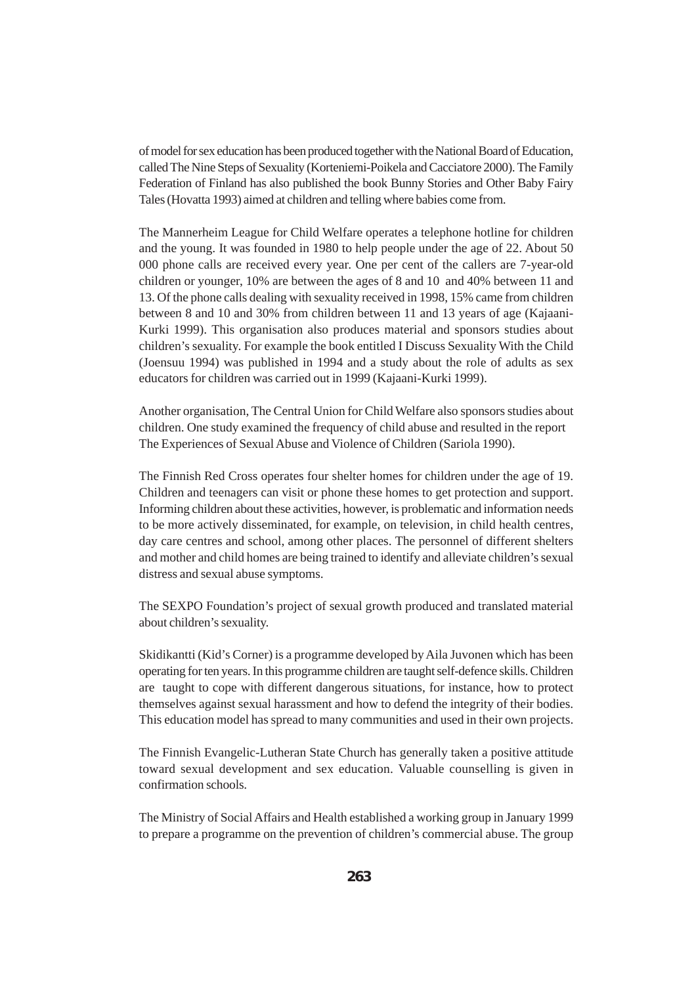of model for sex education has been produced together with the National Board of Education, called The Nine Steps of Sexuality (Korteniemi-Poikela and Cacciatore 2000). The Family Federation of Finland has also published the book Bunny Stories and Other Baby Fairy Tales (Hovatta 1993) aimed at children and telling where babies come from.

The Mannerheim League for Child Welfare operates a telephone hotline for children and the young. It was founded in 1980 to help people under the age of 22. About 50 000 phone calls are received every year. One per cent of the callers are 7-year-old children or younger, 10% are between the ages of 8 and 10 and 40% between 11 and 13. Of the phone calls dealing with sexuality received in 1998, 15% came from children between 8 and 10 and 30% from children between 11 and 13 years of age (Kajaani-Kurki 1999). This organisation also produces material and sponsors studies about children's sexuality. For example the book entitled I Discuss Sexuality With the Child (Joensuu 1994) was published in 1994 and a study about the role of adults as sex educators for children was carried out in 1999 (Kajaani-Kurki 1999).

Another organisation, The Central Union for Child Welfare also sponsors studies about children. One study examined the frequency of child abuse and resulted in the report The Experiences of Sexual Abuse and Violence of Children (Sariola 1990).

The Finnish Red Cross operates four shelter homes for children under the age of 19. Children and teenagers can visit or phone these homes to get protection and support. Informing children about these activities, however, is problematic and information needs to be more actively disseminated, for example, on television, in child health centres, day care centres and school, among other places. The personnel of different shelters and mother and child homes are being trained to identify and alleviate children's sexual distress and sexual abuse symptoms.

The SEXPO Foundation's project of sexual growth produced and translated material about children's sexuality.

Skidikantti (Kid's Corner) is a programme developed by Aila Juvonen which has been operating for ten years. In this programme children are taught self-defence skills. Children are taught to cope with different dangerous situations, for instance, how to protect themselves against sexual harassment and how to defend the integrity of their bodies. This education model has spread to many communities and used in their own projects.

The Finnish Evangelic-Lutheran State Church has generally taken a positive attitude toward sexual development and sex education. Valuable counselling is given in confirmation schools.

The Ministry of Social Affairs and Health established a working group in January 1999 to prepare a programme on the prevention of children's commercial abuse. The group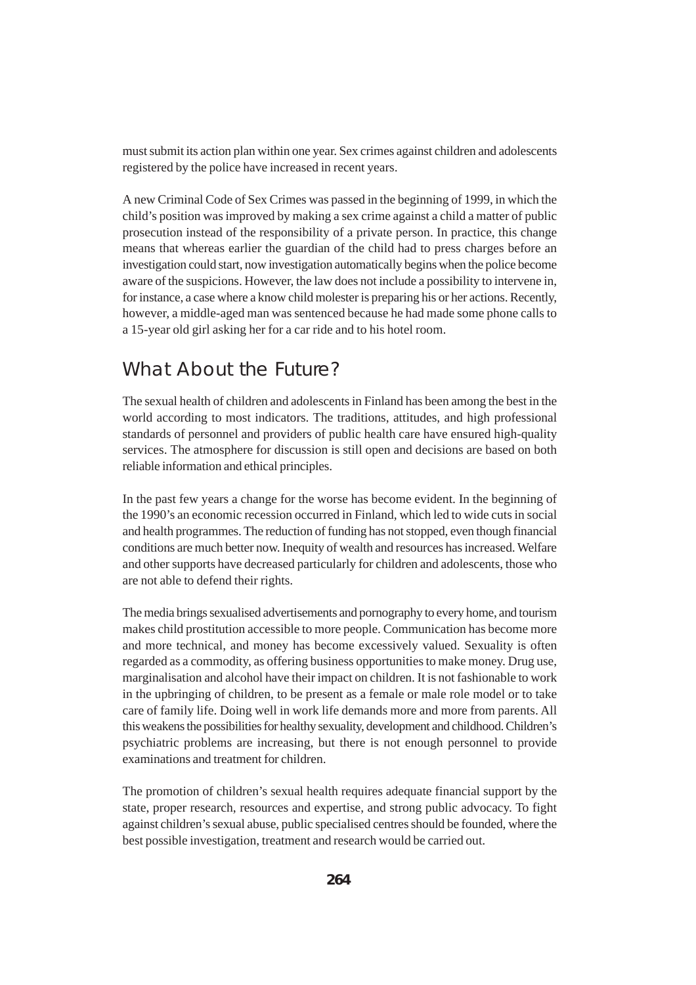must submit its action plan within one year. Sex crimes against children and adolescents registered by the police have increased in recent years.

A new Criminal Code of Sex Crimes was passed in the beginning of 1999, in which the child's position was improved by making a sex crime against a child a matter of public prosecution instead of the responsibility of a private person. In practice, this change means that whereas earlier the guardian of the child had to press charges before an investigation could start, now investigation automatically begins when the police become aware of the suspicions. However, the law does not include a possibility to intervene in, for instance, a case where a know child molester is preparing his or her actions. Recently, however, a middle-aged man was sentenced because he had made some phone calls to a 15-year old girl asking her for a car ride and to his hotel room.

## What About the Future?

The sexual health of children and adolescents in Finland has been among the best in the world according to most indicators. The traditions, attitudes, and high professional standards of personnel and providers of public health care have ensured high-quality services. The atmosphere for discussion is still open and decisions are based on both reliable information and ethical principles.

In the past few years a change for the worse has become evident. In the beginning of the 1990's an economic recession occurred in Finland, which led to wide cuts in social and health programmes. The reduction of funding has not stopped, even though financial conditions are much better now. Inequity of wealth and resources has increased. Welfare and other supports have decreased particularly for children and adolescents, those who are not able to defend their rights.

The media brings sexualised advertisements and pornography to every home, and tourism makes child prostitution accessible to more people. Communication has become more and more technical, and money has become excessively valued. Sexuality is often regarded as a commodity, as offering business opportunities to make money. Drug use, marginalisation and alcohol have their impact on children. It is not fashionable to work in the upbringing of children, to be present as a female or male role model or to take care of family life. Doing well in work life demands more and more from parents. All this weakens the possibilities for healthy sexuality, development and childhood. Children's psychiatric problems are increasing, but there is not enough personnel to provide examinations and treatment for children.

The promotion of children's sexual health requires adequate financial support by the state, proper research, resources and expertise, and strong public advocacy. To fight against children's sexual abuse, public specialised centres should be founded, where the best possible investigation, treatment and research would be carried out.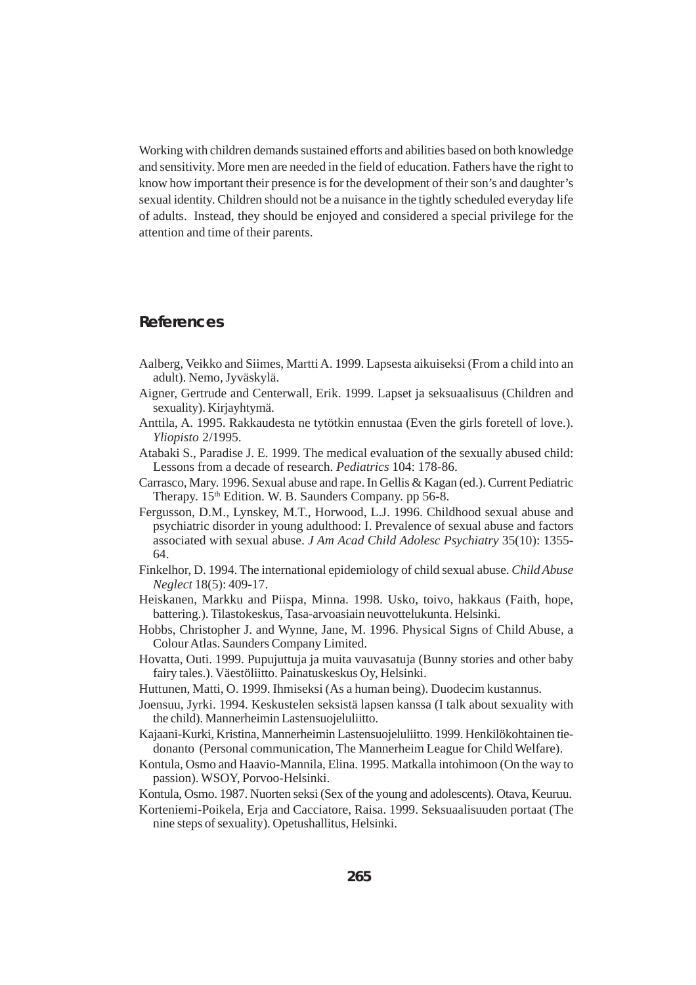Working with children demands sustained efforts and abilities based on both knowledge and sensitivity. More men are needed in the field of education. Fathers have the right to know how important their presence is for the development of their son's and daughter's sexual identity. Children should not be a nuisance in the tightly scheduled everyday life of adults. Instead, they should be enjoyed and considered a special privilege for the attention and time of their parents.

#### **References**

- Aalberg, Veikko and Siimes, Martti A. 1999. Lapsesta aikuiseksi (From a child into an adult). Nemo, Jyväskylä.
- Aigner, Gertrude and Centerwall, Erik. 1999. Lapset ja seksuaalisuus (Children and sexuality). Kirjayhtymä.
- Anttila, A. 1995. Rakkaudesta ne tytötkin ennustaa (Even the girls foretell of love.). *Yliopisto* 2/1995.
- Atabaki S., Paradise J. E. 1999. The medical evaluation of the sexually abused child: Lessons from a decade of research. *Pediatrics* 104: 178-86.
- Carrasco, Mary. 1996. Sexual abuse and rape. In Gellis & Kagan (ed.). Current Pediatric Therapy. 15<sup>th</sup> Edition. W. B. Saunders Company. pp 56-8.
- Fergusson, D.M., Lynskey, M.T., Horwood, L.J. 1996. Childhood sexual abuse and psychiatric disorder in young adulthood: I. Prevalence of sexual abuse and factors associated with sexual abuse. *J Am Acad Child Adolesc Psychiatry* 35(10): 1355- 64.
- Finkelhor, D. 1994. The international epidemiology of child sexual abuse. *Child Abuse Neglect* 18(5): 409-17.
- Heiskanen, Markku and Piispa, Minna. 1998. Usko, toivo, hakkaus (Faith, hope, battering.). Tilastokeskus, Tasa-arvoasiain neuvottelukunta. Helsinki.
- Hobbs, Christopher J. and Wynne, Jane, M. 1996. Physical Signs of Child Abuse, a Colour Atlas. Saunders Company Limited.
- Hovatta, Outi. 1999. Pupujuttuja ja muita vauvasatuja (Bunny stories and other baby fairy tales.). Väestöliitto. Painatuskeskus Oy, Helsinki.
- Huttunen, Matti, O. 1999. Ihmiseksi (As a human being). Duodecim kustannus.
- Joensuu, Jyrki. 1994. Keskustelen seksistä lapsen kanssa (I talk about sexuality with the child). Mannerheimin Lastensuojeluliitto.
- Kajaani-Kurki, Kristina, Mannerheimin Lastensuojeluliitto. 1999. Henkilökohtainen tiedonanto (Personal communication, The Mannerheim League for Child Welfare).
- Kontula, Osmo and Haavio-Mannila, Elina. 1995. Matkalla intohimoon (On the way to passion). WSOY, Porvoo-Helsinki.
- Kontula, Osmo. 1987. Nuorten seksi (Sex of the young and adolescents). Otava, Keuruu.
- Korteniemi-Poikela, Erja and Cacciatore, Raisa. 1999. Seksuaalisuuden portaat (The nine steps of sexuality). Opetushallitus, Helsinki.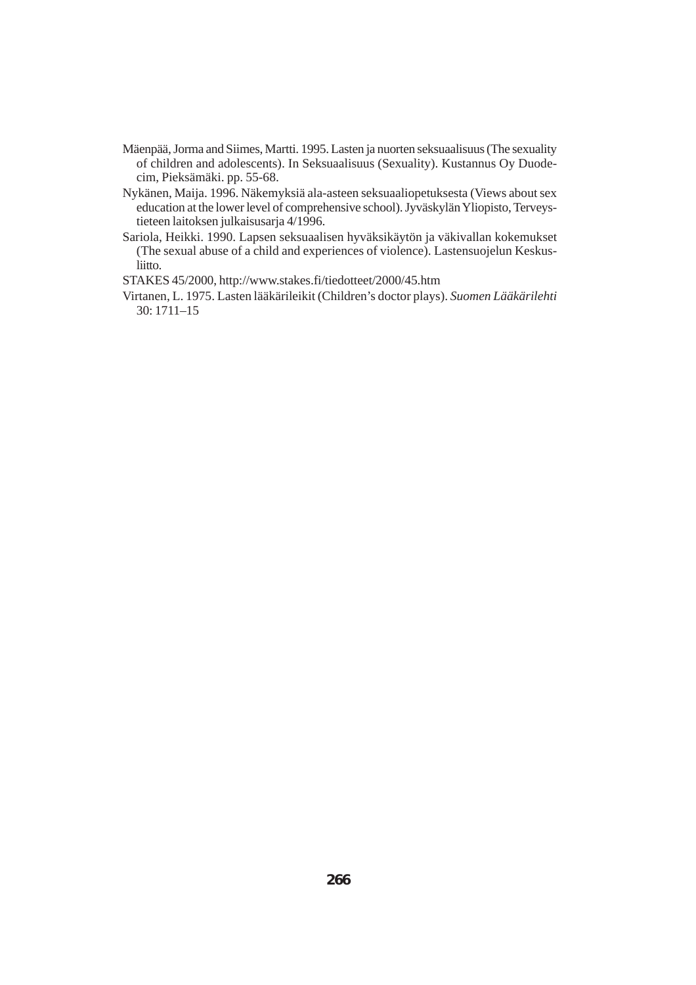- Mäenpää, Jorma and Siimes, Martti. 1995. Lasten ja nuorten seksuaalisuus (The sexuality of children and adolescents). In Seksuaalisuus (Sexuality). Kustannus Oy Duodecim, Pieksämäki. pp. 55-68.
- Nykänen, Maija. 1996. Näkemyksiä ala-asteen seksuaaliopetuksesta (Views about sex education at the lower level of comprehensive school). Jyväskylän Yliopisto, Terveystieteen laitoksen julkaisusarja 4/1996.
- Sariola, Heikki. 1990. Lapsen seksuaalisen hyväksikäytön ja väkivallan kokemukset (The sexual abuse of a child and experiences of violence). Lastensuojelun Keskusliitto.

STAKES 45/2000, http://www.stakes.fi/tiedotteet/2000/45.htm

Virtanen, L. 1975. Lasten lääkärileikit (Children's doctor plays). *Suomen Lääkärilehti* 30: 1711–15